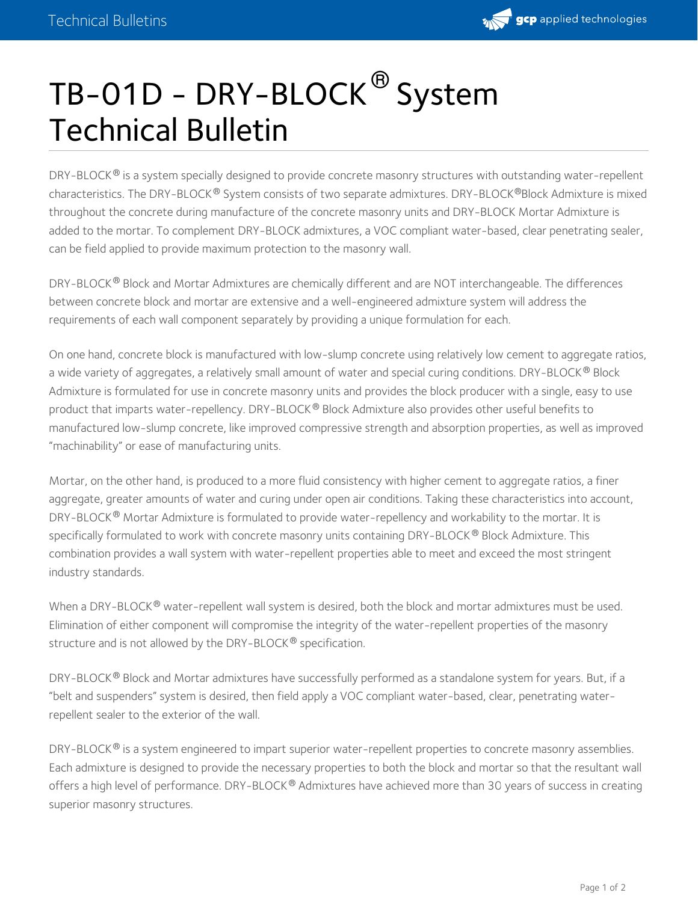

## TB-01D - DRY-BLOCK  $^\circledR$  System Technical Bulletin

DRY-BLOCK $^{\circledast}$  is a system specially designed to provide concrete masonry structures with outstanding water-repellent characteristics. The DRY-BLOCK® System consists of two separate admixtures. DRY-BLOCK®Block Admixture is mixed throughout the concrete during manufacture of the concrete masonry units and DRY-BLOCK Mortar Admixture is added to the mortar. To complement DRY-BLOCK admixtures, a VOC compliant water-based, clear penetrating sealer, can be field applied to provide maximum protection to the masonry wall.

DRY-BLOCK® Block and Mortar Admixtures are chemically different and are NOT interchangeable. The differences between concrete block and mortar are extensive and a well-engineered admixture system will address the requirements of each wall component separately by providing a unique formulation for each.

On one hand, concrete block is manufactured with low-slump concrete using relatively low cement to aggregate ratios, a wide variety of aggregates, a relatively small amount of water and special curing conditions. DRY-BLOCK® Block Admixture is formulated for use in concrete masonry units and provides the block producer with a single, easy to use product that imparts water-repellency. DRY-BLOCK® Block Admixture also provides other useful benefits to manufactured low-slump concrete, like improved compressive strength and absorption properties, as well as improved "machinability" or ease of manufacturing units.

Mortar, on the other hand, is produced to a more fluid consistency with higher cement to aggregate ratios, a finer aggregate, greater amounts of water and curing under open air conditions. Taking these characteristics into account, DRY-BLOCK® Mortar Admixture is formulated to provide water-repellency and workability to the mortar. It is specifically formulated to work with concrete masonry units containing DRY-BLOCK  $^\circledR$  Block Admixture. This combination provides a wall system with water-repellent properties able to meet and exceed the most stringent industry standards.

When a DRY-BLOCK  $^\circledR$  water-repellent wall system is desired, both the block and mortar admixtures must be used. Elimination of either component will compromise the integrity of the water-repellent properties of the masonry structure and is not allowed by the DRY-BLOCK® specification.

DRY-BLOCK® Block and Mortar admixtures have successfully performed as a standalone system for years. But, if a "belt and suspenders" system is desired, then field apply a VOC compliant water-based, clear, penetrating waterrepellent sealer to the exterior of the wall.

DRY-BLOCK® is a system engineered to impart superior water-repellent properties to concrete masonry assemblies. Each admixture is designed to provide the necessary properties to both the block and mortar so that the resultant wall offers a high level of performance. DRY-BLOCK® Admixtures have achieved more than 30 years of success in creating superior masonry structures.